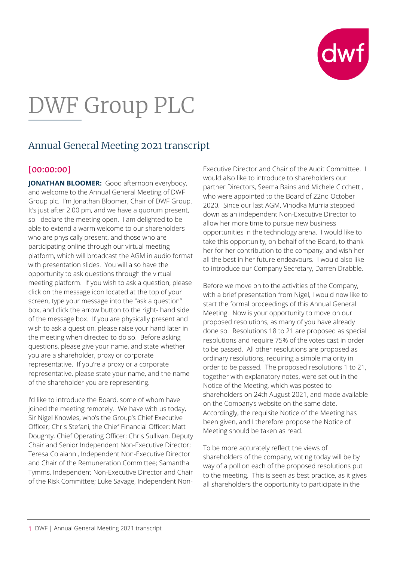

# DWF Group PLC

# Annual General Meeting 2021 transcript

#### [00:00:00]

**JONATHAN BLOOMER:** Good afternoon everybody, and welcome to the Annual General Meeting of DWF Group plc. I'm Jonathan Bloomer, Chair of DWF Group. It's just after 2.00 pm, and we have a quorum present, so I declare the meeting open. I am delighted to be able to extend a warm welcome to our shareholders who are physically present, and those who are participating online through our virtual meeting platform, which will broadcast the AGM in audio format with presentation slides. You will also have the opportunity to ask questions through the virtual meeting platform. If you wish to ask a question, please click on the message icon located at the top of your screen, type your message into the "ask a question" box, and click the arrow button to the right- hand side of the message box. If you are physically present and wish to ask a question, please raise your hand later in the meeting when directed to do so. Before asking questions, please give your name, and state whether you are a shareholder, proxy or corporate representative. If you're a proxy or a corporate representative, please state your name, and the name of the shareholder you are representing.

I'd like to introduce the Board, some of whom have joined the meeting remotely. We have with us today, Sir Nigel Knowles, who's the Group's Chief Executive Officer; Chris Stefani, the Chief Financial Officer; Matt Doughty, Chief Operating Officer; Chris Sullivan, Deputy Chair and Senior Independent Non-Executive Director; Teresa Colaianni, Independent Non-Executive Director and Chair of the Remuneration Committee; Samantha Tymms, Independent Non-Executive Director and Chair of the Risk Committee; Luke Savage, Independent Non-

Executive Director and Chair of the Audit Committee. I would also like to introduce to shareholders our partner Directors, Seema Bains and Michele Cicchetti, who were appointed to the Board of 22nd October 2020. Since our last AGM, Vinodka Murria stepped down as an independent Non-Executive Director to allow her more time to pursue new business opportunities in the technology arena. I would like to take this opportunity, on behalf of the Board, to thank her for her contribution to the company, and wish her all the best in her future endeavours. I would also like to introduce our Company Secretary, Darren Drabble.

Before we move on to the activities of the Company, with a brief presentation from Nigel, I would now like to start the formal proceedings of this Annual General Meeting. Now is your opportunity to move on our proposed resolutions, as many of you have already done so. Resolutions 18 to 21 are proposed as special resolutions and require 75% of the votes cast in order to be passed. All other resolutions are proposed as ordinary resolutions, requiring a simple majority in order to be passed. The proposed resolutions 1 to 21, together with explanatory notes, were set out in the Notice of the Meeting, which was posted to shareholders on 24th August 2021, and made available on the Company's website on the same date. Accordingly, the requisite Notice of the Meeting has been given, and I therefore propose the Notice of Meeting should be taken as read.

To be more accurately reflect the views of shareholders of the company, voting today will be by way of a poll on each of the proposed resolutions put to the meeting. This is seen as best practice, as it gives all shareholders the opportunity to participate in the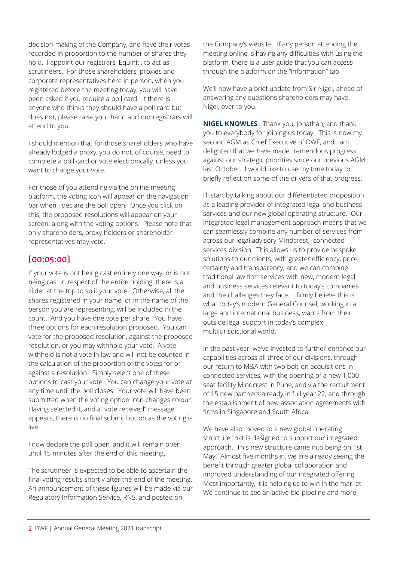decision-making of the Company, and have their votes recorded in proportion to the number of shares they hold. I appoint our registrars, Equiniti, to act as scrutineers. For those shareholders, proxies and corporate representatives here in person, when you registered before the meeting today, you will have been asked if you require a poll card. If there is anyone who thinks they should have a poll card but does not, please raise your hand and our registrars will attend to you.

I should mention that for those shareholders who have already lodged a proxy, you do not, of course, need to complete a poll card or vote electronically, unless you want to change your vote.

For those of you attending via the online meeting platform, the voting icon will appear on the navigation bar when I declare the poll open. Once you click on this, the proposed resolutions will appear on your screen, along with the voting options. Please note that only shareholders, proxy holders or shareholder representatives may vote.

### [00:05:00]

If your vote is not being cast entirely one way, or is not being cast in respect of the entire holding, there is a slider at the top to split your vote. Otherwise, all the shares registered in your name, or in the name of the person you are representing, will be included in the count. And you have one vote per share. You have three options for each resolution proposed. You can vote for the proposed resolution, against the proposed resolution, or you may withhold your vote. A vote withheld is not a vote in law and will not be counted in the calculation of the proportion of the votes for or against a resolution. Simply select one of these options to cast your vote. You can change your vote at any time until the poll closes. Your vote will have been submitted when the voting option icon changes colour. Having selected it, and a "vote received" message appears, there is no final submit button as the voting is live.

I now declare the poll open, and it will remain open until 15 minutes after the end of this meeting.

The scrutineer is expected to be able to ascertain the final voting results shortly after the end of the meeting. An announcement of these figures will be made via our Regulatory Information Service, RNS, and posted on

the Company's website. If any person attending the meeting online is having any difficulties with using the platform, there is a user guide that you can access through the platform on the "information" tab.

We'll now have a brief update from Sir Nigel, ahead of answering any questions shareholders may have. Nigel, over to you.

**NIGEL KNOWLES**: Thank you, Jonathan, and thank you to everybody for joining us today. This is now my second AGM as Chief Executive of DWF, and I am delighted that we have made tremendous progress against our strategic priorities since our previous AGM last October. I would like to use my time today to briefly reflect on some of the drivers of that progress.

I'll start by talking about our differentiated proposition as a leading provider of integrated legal and business services and our new global operating structure. Our integrated legal management approach means that we can seamlessly combine any number of services from across our legal advisory Mindcrest, connected services division. This allows us to provide bespoke solutions to our clients, with greater efficiency, price certainty and transparency, and we can combine traditional law firm services with new, modern legal and business services relevant to today's companies and the challenges they face. I firmly believe this is what today's modern General Counsel, working in a large and international business, wants from their outside legal support in today's complex multijurisdictional world.

In the past year, we've invested to further enhance our capabilities across all three of our divisions, through our return to M&A with two bolt-on acquisitions in connected services, with the opening of a new 1,000 seat facility Mindcrest in Pune, and via the recruitment of 15 new partners already in full year 22, and through the establishment of new association agreements with firms in Singapore and South Africa.

We have also moved to a new global operating structure that is designed to support our integrated approach. This new structure came into being on 1st May. Almost five months in, we are already seeing the benefit through greater global collaboration and improved understanding of our integrated offering. Most importantly, it is helping us to win in the market. We continue to see an active bid pipeline and more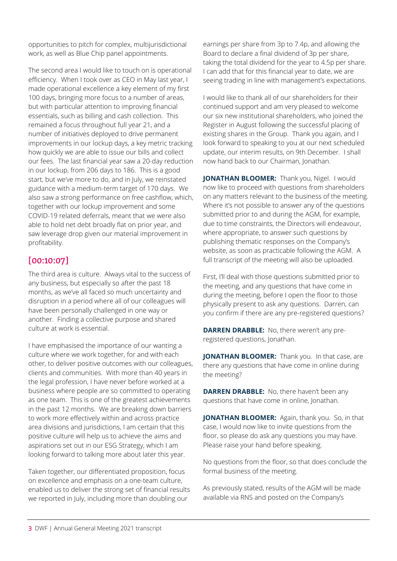opportunities to pitch for complex, multijurisdictional work, as well as Blue Chip panel appointments.

The second area I would like to touch on is operational efficiency. When I took over as CEO in May last year, I made operational excellence a key element of my first 100 days, bringing more focus to a number of areas, but with particular attention to improving financial essentials, such as billing and cash collection. This remained a focus throughout full year 21, and a number of initiatives deployed to drive permanent improvements in our lockup days, a key metric tracking how quickly we are able to issue our bills and collect our fees. The last financial year saw a 20-day reduction in our lockup, from 206 days to 186. This is a good start, but we've more to do, and in July, we reinstated guidance with a medium-term target of 170 days. We also saw a strong performance on free cashflow, which, together with our lockup improvement and some COVID-19 related deferrals, meant that we were also able to hold net debt broadly flat on prior year, and saw leverage drop given our material improvement in profitability.

## [00:10:07]

The third area is culture. Always vital to the success of any business, but especially so after the past 18 months, as we've all faced so much uncertainty and disruption in a period where all of our colleagues will have been personally challenged in one way or another. Finding a collective purpose and shared culture at work is essential.

I have emphasised the importance of our wanting a culture where we work together, for and with each other, to deliver positive outcomes with our colleagues, clients and communities. With more than 40 years in the legal profession, I have never before worked at a business where people are so committed to operating as one team. This is one of the greatest achievements in the past 12 months. We are breaking down barriers to work more effectively within and across practice area divisions and jurisdictions, I am certain that this positive culture will help us to achieve the aims and aspirations set out in our ESG Strategy, which I am looking forward to talking more about later this year.

Taken together, our differentiated proposition, focus on excellence and emphasis on a one-team culture, enabled us to deliver the strong set of financial results we reported in July, including more than doubling our

earnings per share from 3p to 7.4p, and allowing the Board to declare a final dividend of 3p per share, taking the total dividend for the year to 4.5p per share. I can add that for this financial year to date, we are seeing trading in line with management's expectations.

I would like to thank all of our shareholders for their continued support and am very pleased to welcome our six new institutional shareholders, who joined the Register in August following the successful placing of existing shares in the Group. Thank you again, and I look forward to speaking to you at our next scheduled update, our interim results, on 9th December. I shall now hand back to our Chairman, Jonathan.

**JONATHAN BLOOMER:** Thank you, Nigel. I would now like to proceed with questions from shareholders on any matters relevant to the business of the meeting. Where it's not possible to answer any of the questions submitted prior to and during the AGM, for example, due to time constraints, the Directors will endeavour, where appropriate, to answer such questions by publishing thematic responses on the Company's website, as soon as practicable following the AGM. A full transcript of the meeting will also be uploaded.

First, I'll deal with those questions submitted prior to the meeting, and any questions that have come in during the meeting, before I open the floor to those physically present to ask any questions. Darren, can you confirm if there are any pre-registered questions?

**DARREN DRABBLE:** No, there weren't any preregistered questions, Jonathan.

**JONATHAN BLOOMER:** Thank you. In that case, are there any questions that have come in online during the meeting?

**DARREN DRABBLE:** No, there haven't been any questions that have come in online, Jonathan.

**JONATHAN BLOOMER:** Again, thank you. So, in that case, I would now like to invite questions from the floor, so please do ask any questions you may have. Please raise your hand before speaking.

No questions from the floor, so that does conclude the formal business of the meeting.

As previously stated, results of the AGM will be made available via RNS and posted on the Company's